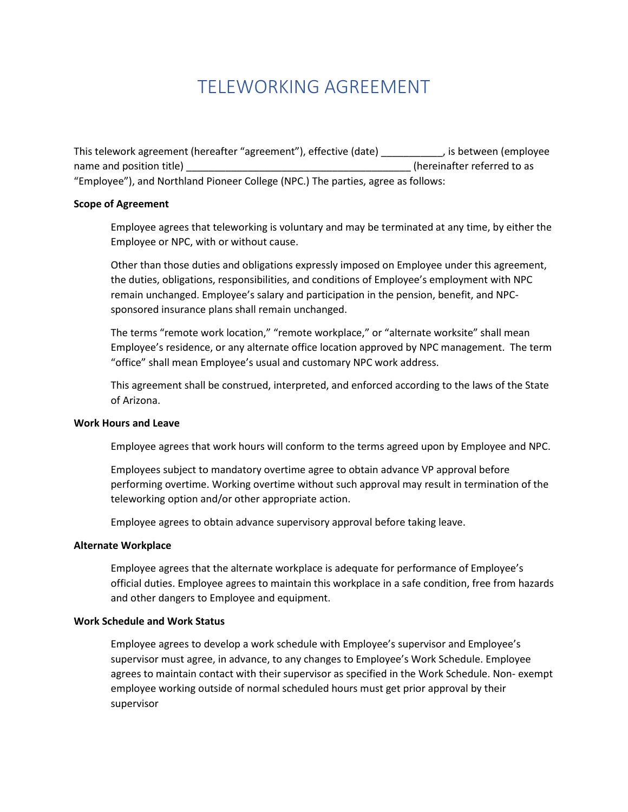# TELEWORKING AGREEMENT

This telework agreement (hereafter "agreement"), effective (date) \_\_\_\_\_\_\_\_\_\_\_, is between (employee name and position title) **Example 20** and position title as "Employee"), and Northland Pioneer College (NPC.) The parties, agree as follows:

## **Scope of Agreement**

Employee agrees that teleworking is voluntary and may be terminated at any time, by either the Employee or NPC, with or without cause.

Other than those duties and obligations expressly imposed on Employee under this agreement, the duties, obligations, responsibilities, and conditions of Employee's employment with NPC remain unchanged. Employee's salary and participation in the pension, benefit, and NPCsponsored insurance plans shall remain unchanged.

The terms "remote work location," "remote workplace," or "alternate worksite" shall mean Employee's residence, or any alternate office location approved by NPC management. The term "office" shall mean Employee's usual and customary NPC work address.

This agreement shall be construed, interpreted, and enforced according to the laws of the State of Arizona.

## **Work Hours and Leave**

Employee agrees that work hours will conform to the terms agreed upon by Employee and NPC.

Employees subject to mandatory overtime agree to obtain advance VP approval before performing overtime. Working overtime without such approval may result in termination of the teleworking option and/or other appropriate action.

Employee agrees to obtain advance supervisory approval before taking leave.

#### **Alternate Workplace**

Employee agrees that the alternate workplace is adequate for performance of Employee's official duties. Employee agrees to maintain this workplace in a safe condition, free from hazards and other dangers to Employee and equipment.

#### **Work Schedule and Work Status**

Employee agrees to develop a work schedule with Employee's supervisor and Employee's supervisor must agree, in advance, to any changes to Employee's Work Schedule. Employee agrees to maintain contact with their supervisor as specified in the Work Schedule. Non- exempt employee working outside of normal scheduled hours must get prior approval by their supervisor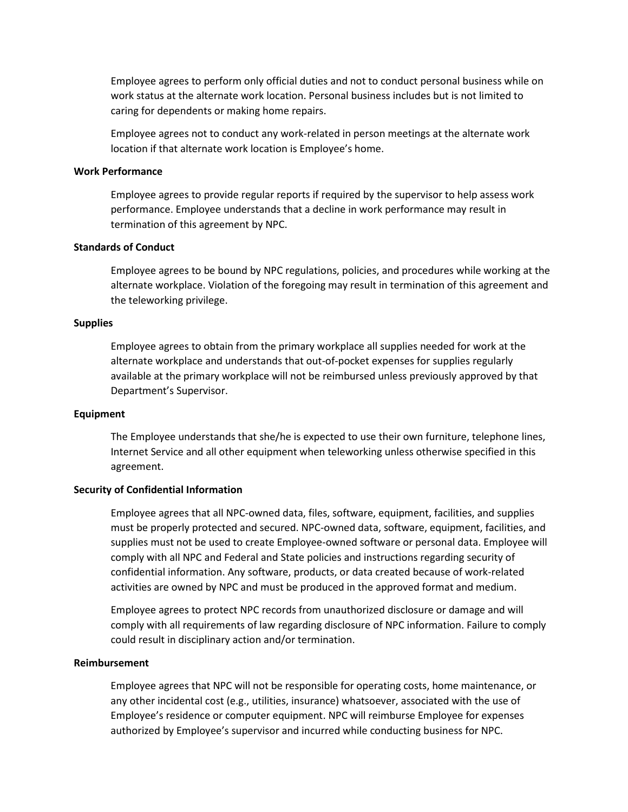Employee agrees to perform only official duties and not to conduct personal business while on work status at the alternate work location. Personal business includes but is not limited to caring for dependents or making home repairs.

Employee agrees not to conduct any work-related in person meetings at the alternate work location if that alternate work location is Employee's home.

## **Work Performance**

Employee agrees to provide regular reports if required by the supervisor to help assess work performance. Employee understands that a decline in work performance may result in termination of this agreement by NPC.

## **Standards of Conduct**

Employee agrees to be bound by NPC regulations, policies, and procedures while working at the alternate workplace. Violation of the foregoing may result in termination of this agreement and the teleworking privilege.

## **Supplies**

Employee agrees to obtain from the primary workplace all supplies needed for work at the alternate workplace and understands that out-of-pocket expenses for supplies regularly available at the primary workplace will not be reimbursed unless previously approved by that Department's Supervisor.

#### **Equipment**

The Employee understands that she/he is expected to use their own furniture, telephone lines, Internet Service and all other equipment when teleworking unless otherwise specified in this agreement.

## **Security of Confidential Information**

Employee agrees that all NPC-owned data, files, software, equipment, facilities, and supplies must be properly protected and secured. NPC-owned data, software, equipment, facilities, and supplies must not be used to create Employee-owned software or personal data. Employee will comply with all NPC and Federal and State policies and instructions regarding security of confidential information. Any software, products, or data created because of work-related activities are owned by NPC and must be produced in the approved format and medium.

Employee agrees to protect NPC records from unauthorized disclosure or damage and will comply with all requirements of law regarding disclosure of NPC information. Failure to comply could result in disciplinary action and/or termination.

#### **Reimbursement**

Employee agrees that NPC will not be responsible for operating costs, home maintenance, or any other incidental cost (e.g., utilities, insurance) whatsoever, associated with the use of Employee's residence or computer equipment. NPC will reimburse Employee for expenses authorized by Employee's supervisor and incurred while conducting business for NPC.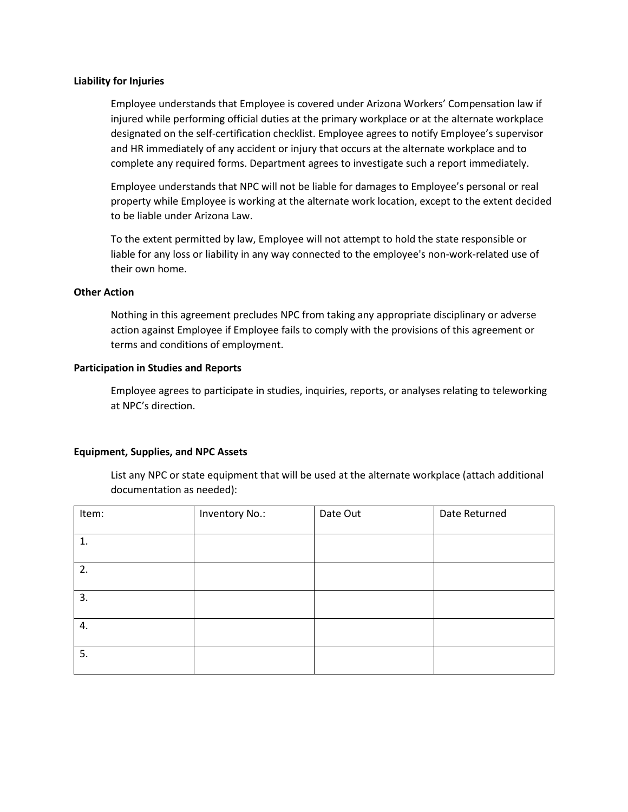## **Liability for Injuries**

Employee understands that Employee is covered under Arizona Workers' Compensation law if injured while performing official duties at the primary workplace or at the alternate workplace designated on the self-certification checklist. Employee agrees to notify Employee's supervisor and HR immediately of any accident or injury that occurs at the alternate workplace and to complete any required forms. Department agrees to investigate such a report immediately.

Employee understands that NPC will not be liable for damages to Employee's personal or real property while Employee is working at the alternate work location, except to the extent decided to be liable under Arizona Law.

To the extent permitted by law, Employee will not attempt to hold the state responsible or liable for any loss or liability in any way connected to the employee's non-work-related use of their own home.

# **Other Action**

Nothing in this agreement precludes NPC from taking any appropriate disciplinary or adverse action against Employee if Employee fails to comply with the provisions of this agreement or terms and conditions of employment.

# **Participation in Studies and Reports**

Employee agrees to participate in studies, inquiries, reports, or analyses relating to teleworking at NPC's direction.

# **Equipment, Supplies, and NPC Assets**

List any NPC or state equipment that will be used at the alternate workplace (attach additional documentation as needed):

| Item: | Inventory No.: | Date Out | Date Returned |
|-------|----------------|----------|---------------|
|       |                |          |               |
| 1.    |                |          |               |
|       |                |          |               |
| 2.    |                |          |               |
|       |                |          |               |
| 3.    |                |          |               |
|       |                |          |               |
| 4.    |                |          |               |
|       |                |          |               |
| 5.    |                |          |               |
|       |                |          |               |